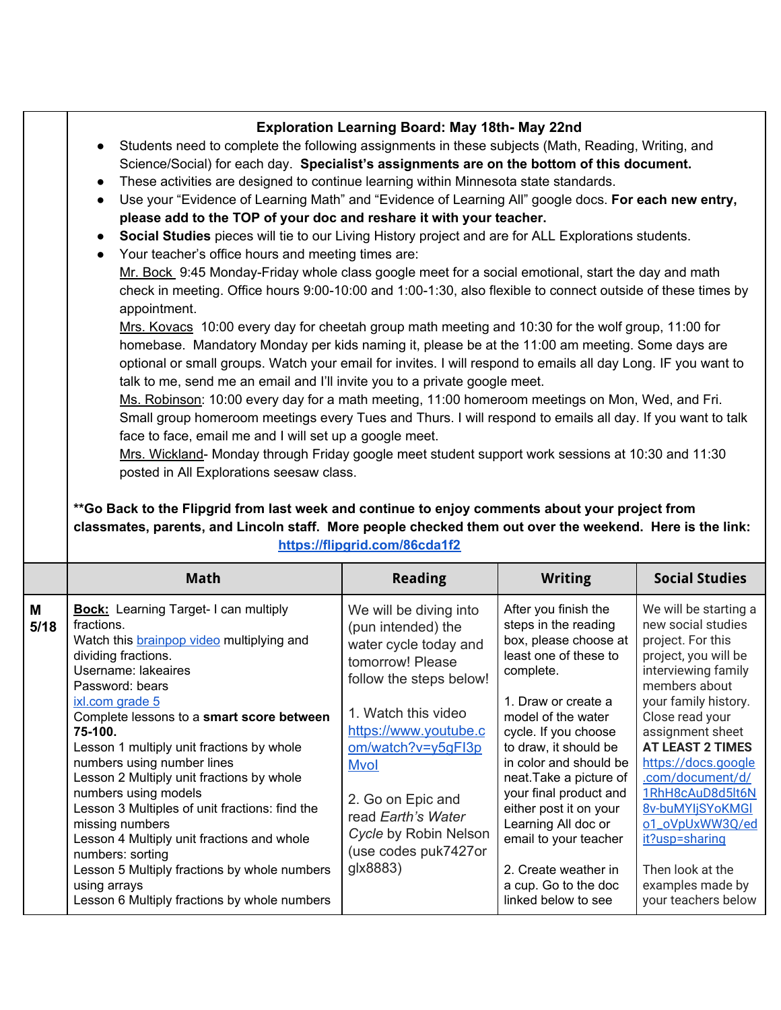|           | <b>Exploration Learning Board: May 18th- May 22nd</b><br>Students need to complete the following assignments in these subjects (Math, Reading, Writing, and<br>Science/Social) for each day. Specialist's assignments are on the bottom of this document.<br>These activities are designed to continue learning within Minnesota state standards.<br>$\bullet$<br>Use your "Evidence of Learning Math" and "Evidence of Learning All" google docs. For each new entry,<br>$\bullet$<br>please add to the TOP of your doc and reshare it with your teacher.<br>Social Studies pieces will tie to our Living History project and are for ALL Explorations students.<br>Your teacher's office hours and meeting times are:<br>Mr. Bock 9:45 Monday-Friday whole class google meet for a social emotional, start the day and math<br>check in meeting. Office hours 9:00-10:00 and 1:00-1:30, also flexible to connect outside of these times by<br>appointment.<br>Mrs. Kovacs 10:00 every day for cheetah group math meeting and 10:30 for the wolf group, 11:00 for<br>homebase. Mandatory Monday per kids naming it, please be at the 11:00 am meeting. Some days are<br>optional or small groups. Watch your email for invites. I will respond to emails all day Long. IF you want to<br>talk to me, send me an email and I'll invite you to a private google meet.<br>Ms. Robinson: 10:00 every day for a math meeting, 11:00 homeroom meetings on Mon, Wed, and Fri.<br>Small group homeroom meetings every Tues and Thurs. I will respond to emails all day. If you want to talk<br>face to face, email me and I will set up a google meet.<br>Mrs. Wickland- Monday through Friday google meet student support work sessions at 10:30 and 11:30<br>posted in All Explorations seesaw class.<br>**Go Back to the Flipgrid from last week and continue to enjoy comments about your project from<br>classmates, parents, and Lincoln staff. More people checked them out over the weekend. Here is the link:<br>https://flipgrid.com/86cda1f2 |                                                                                                                                                                                                                                                                                                                   |                                                                                                                                                                                                                                                                                                                                                                                                                                           |                                                                                                                                                                                                                                                                                                                                                                                                                   |  |
|-----------|--------------------------------------------------------------------------------------------------------------------------------------------------------------------------------------------------------------------------------------------------------------------------------------------------------------------------------------------------------------------------------------------------------------------------------------------------------------------------------------------------------------------------------------------------------------------------------------------------------------------------------------------------------------------------------------------------------------------------------------------------------------------------------------------------------------------------------------------------------------------------------------------------------------------------------------------------------------------------------------------------------------------------------------------------------------------------------------------------------------------------------------------------------------------------------------------------------------------------------------------------------------------------------------------------------------------------------------------------------------------------------------------------------------------------------------------------------------------------------------------------------------------------------------------------------------------------------------------------------------------------------------------------------------------------------------------------------------------------------------------------------------------------------------------------------------------------------------------------------------------------------------------------------------------------------------------------------------------------------------------------------------------------------------------------|-------------------------------------------------------------------------------------------------------------------------------------------------------------------------------------------------------------------------------------------------------------------------------------------------------------------|-------------------------------------------------------------------------------------------------------------------------------------------------------------------------------------------------------------------------------------------------------------------------------------------------------------------------------------------------------------------------------------------------------------------------------------------|-------------------------------------------------------------------------------------------------------------------------------------------------------------------------------------------------------------------------------------------------------------------------------------------------------------------------------------------------------------------------------------------------------------------|--|
|           | <b>Math</b>                                                                                                                                                                                                                                                                                                                                                                                                                                                                                                                                                                                                                                                                                                                                                                                                                                                                                                                                                                                                                                                                                                                                                                                                                                                                                                                                                                                                                                                                                                                                                                                                                                                                                                                                                                                                                                                                                                                                                                                                                                      | <b>Reading</b>                                                                                                                                                                                                                                                                                                    | <b>Writing</b>                                                                                                                                                                                                                                                                                                                                                                                                                            | <b>Social Studies</b>                                                                                                                                                                                                                                                                                                                                                                                             |  |
| M<br>5/18 | <b>Bock:</b> Learning Target-I can multiply<br>fractions.<br>Watch this <b>brainpop video</b> multiplying and<br>dividing fractions.<br>Username: lakeaires<br>Password: bears<br>ixl.com grade 5<br>Complete lessons to a smart score between<br>75-100.<br>Lesson 1 multiply unit fractions by whole<br>numbers using number lines<br>Lesson 2 Multiply unit fractions by whole<br>numbers using models<br>Lesson 3 Multiples of unit fractions: find the<br>missing numbers<br>Lesson 4 Multiply unit fractions and whole<br>numbers: sorting<br>Lesson 5 Multiply fractions by whole numbers<br>using arrays<br>Lesson 6 Multiply fractions by whole numbers                                                                                                                                                                                                                                                                                                                                                                                                                                                                                                                                                                                                                                                                                                                                                                                                                                                                                                                                                                                                                                                                                                                                                                                                                                                                                                                                                                                 | We will be diving into<br>(pun intended) the<br>water cycle today and<br>tomorrow! Please<br>follow the steps below!<br>1. Watch this video<br>https://www.youtube.c<br>om/watch?v=y5gFl3p<br><b>Mvol</b><br>2. Go on Epic and<br>read Earth's Water<br>Cycle by Robin Nelson<br>(use codes puk7427or<br>glx8883) | After you finish the<br>steps in the reading<br>box, please choose at<br>least one of these to<br>complete.<br>1. Draw or create a<br>model of the water<br>cycle. If you choose<br>to draw, it should be<br>in color and should be<br>neat. Take a picture of<br>your final product and<br>either post it on your<br>Learning All doc or<br>email to your teacher<br>2. Create weather in<br>a cup. Go to the doc<br>linked below to see | We will be starting a<br>new social studies<br>project. For this<br>project, you will be<br>interviewing family<br>members about<br>your family history.<br>Close read your<br>assignment sheet<br><b>AT LEAST 2 TIMES</b><br>https://docs.google<br>.com/document/d/<br>1RhH8cAuD8d5lt6N<br>8v-buMYIjSYoKMGI<br>o1_oVpUxWW3Q/ed<br>it?usp=sharing<br>Then look at the<br>examples made by<br>your teachers below |  |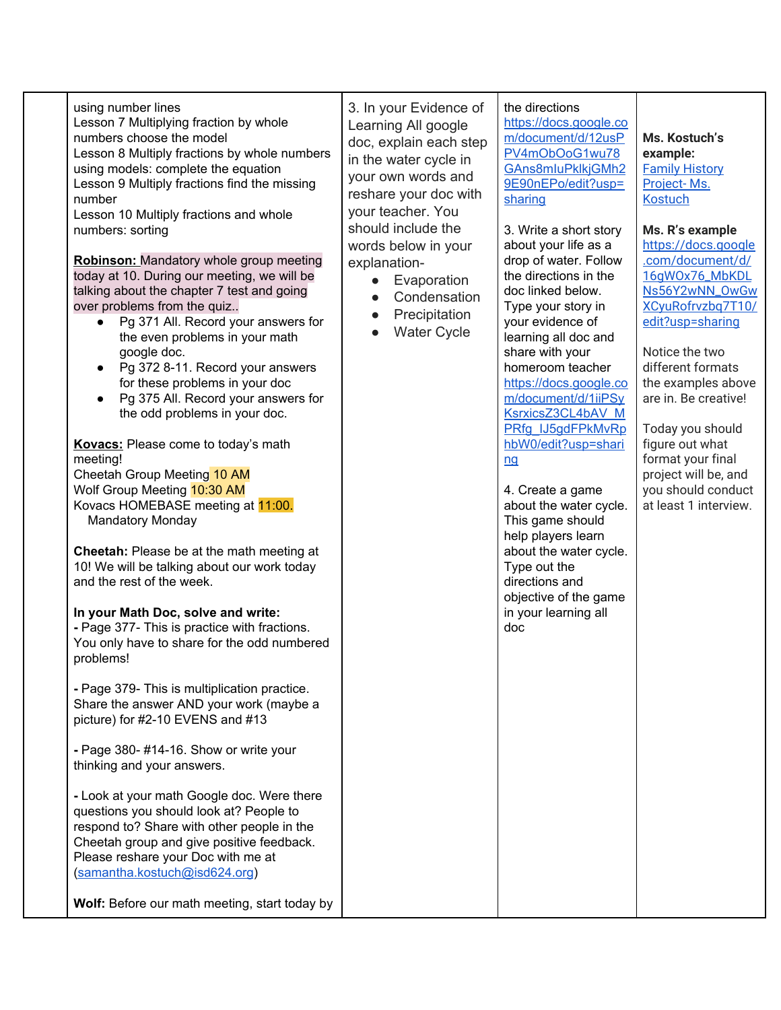| using number lines<br>Lesson 7 Multiplying fraction by whole<br>numbers choose the model<br>Lesson 8 Multiply fractions by whole numbers<br>using models: complete the equation<br>Lesson 9 Multiply fractions find the missing<br>number<br>Lesson 10 Multiply fractions and whole<br>numbers: sorting<br><b>Robinson:</b> Mandatory whole group meeting<br>today at 10. During our meeting, we will be<br>talking about the chapter 7 test and going<br>over problems from the quiz<br>Pg 371 All. Record your answers for<br>$\bullet$<br>the even problems in your math<br>google doc.<br>Pg 372 8-11. Record your answers<br>for these problems in your doc<br>Pg 375 All. Record your answers for<br>the odd problems in your doc.<br>Kovacs: Please come to today's math<br>meeting!<br>Cheetah Group Meeting 10 AM<br>Wolf Group Meeting 10:30 AM<br>Kovacs HOMEBASE meeting at 11:00.<br><b>Mandatory Monday</b><br>Cheetah: Please be at the math meeting at<br>10! We will be talking about our work today<br>and the rest of the week.<br>In your Math Doc, solve and write:<br>- Page 377- This is practice with fractions.<br>You only have to share for the odd numbered<br>problems!<br>- Page 379- This is multiplication practice.<br>Share the answer AND your work (maybe a<br>picture) for #2-10 EVENS and #13<br>- Page 380- #14-16. Show or write your<br>thinking and your answers.<br>- Look at your math Google doc. Were there<br>questions you should look at? People to<br>respond to? Share with other people in the<br>Cheetah group and give positive feedback.<br>Please reshare your Doc with me at<br>(samantha.kostuch@isd624.org)<br>Wolf: Before our math meeting, start today by | 3. In your Evidence of<br>Learning All google<br>doc, explain each step<br>in the water cycle in<br>your own words and<br>reshare your doc with<br>your teacher. You<br>should include the<br>words below in your<br>explanation-<br>Evaporation<br>Condensation<br>Precipitation<br><b>Water Cycle</b> | the directions<br>https://docs.google.co<br>m/document/d/12usP<br>PV4mObOoG1wu78<br>GAns8mluPklkjGMh2<br>9E90nEPo/edit?usp=<br>sharing<br>3. Write a short story<br>about your life as a<br>drop of water. Follow<br>the directions in the<br>doc linked below.<br>Type your story in<br>your evidence of<br>learning all doc and<br>share with your<br>homeroom teacher<br>https://docs.google.co<br>m/document/d/1iiPSy<br>KsrxicsZ3CL4bAV M<br>PRfg IJ5gdFPkMvRp<br>hbW0/edit?usp=shari<br>nq<br>4. Create a game<br>about the water cycle.<br>This game should<br>help players learn<br>about the water cycle.<br>Type out the<br>directions and<br>objective of the game<br>in your learning all<br>doc | Ms. Kostuch's<br>example:<br><b>Family History</b><br>Project-Ms.<br><b>Kostuch</b><br>Ms. R's example<br>https://docs.google<br>.com/document/d/<br>16qWOx76_MbKDL<br>Ns56Y2wNN_OwGw<br>XCyuRofrvzbq7T10/<br>edit?usp=sharing<br>Notice the two<br>different formats<br>the examples above<br>are in. Be creative!<br>Today you should<br>figure out what<br>format your final<br>project will be, and<br>you should conduct<br>at least 1 interview. |
|-------------------------------------------------------------------------------------------------------------------------------------------------------------------------------------------------------------------------------------------------------------------------------------------------------------------------------------------------------------------------------------------------------------------------------------------------------------------------------------------------------------------------------------------------------------------------------------------------------------------------------------------------------------------------------------------------------------------------------------------------------------------------------------------------------------------------------------------------------------------------------------------------------------------------------------------------------------------------------------------------------------------------------------------------------------------------------------------------------------------------------------------------------------------------------------------------------------------------------------------------------------------------------------------------------------------------------------------------------------------------------------------------------------------------------------------------------------------------------------------------------------------------------------------------------------------------------------------------------------------------------------------------------------------------------------------------------------------------|---------------------------------------------------------------------------------------------------------------------------------------------------------------------------------------------------------------------------------------------------------------------------------------------------------|--------------------------------------------------------------------------------------------------------------------------------------------------------------------------------------------------------------------------------------------------------------------------------------------------------------------------------------------------------------------------------------------------------------------------------------------------------------------------------------------------------------------------------------------------------------------------------------------------------------------------------------------------------------------------------------------------------------|--------------------------------------------------------------------------------------------------------------------------------------------------------------------------------------------------------------------------------------------------------------------------------------------------------------------------------------------------------------------------------------------------------------------------------------------------------|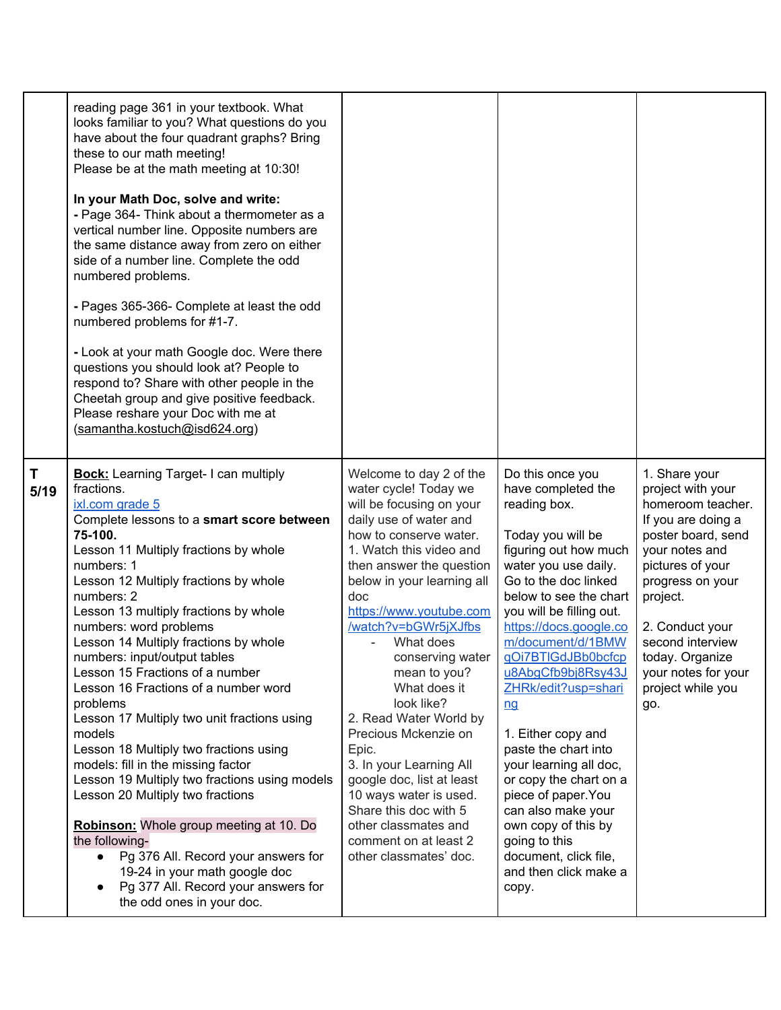|           | reading page 361 in your textbook. What<br>looks familiar to you? What questions do you<br>have about the four quadrant graphs? Bring<br>these to our math meeting!<br>Please be at the math meeting at 10:30!<br>In your Math Doc, solve and write:<br>- Page 364- Think about a thermometer as a<br>vertical number line. Opposite numbers are<br>the same distance away from zero on either<br>side of a number line. Complete the odd<br>numbered problems.<br>- Pages 365-366- Complete at least the odd<br>numbered problems for #1-7.<br>- Look at your math Google doc. Were there<br>questions you should look at? People to<br>respond to? Share with other people in the<br>Cheetah group and give positive feedback.<br>Please reshare your Doc with me at<br>(samantha.kostuch@isd624.org)                                                                                                                       |                                                                                                                                                                                                                                                                                                                                                                                                                                                                                                                                                                                                                 |                                                                                                                                                                                                                                                                                                                                                                                                                                                                                                                                                                                      |                                                                                                                                                                                                                                                                                        |
|-----------|-------------------------------------------------------------------------------------------------------------------------------------------------------------------------------------------------------------------------------------------------------------------------------------------------------------------------------------------------------------------------------------------------------------------------------------------------------------------------------------------------------------------------------------------------------------------------------------------------------------------------------------------------------------------------------------------------------------------------------------------------------------------------------------------------------------------------------------------------------------------------------------------------------------------------------|-----------------------------------------------------------------------------------------------------------------------------------------------------------------------------------------------------------------------------------------------------------------------------------------------------------------------------------------------------------------------------------------------------------------------------------------------------------------------------------------------------------------------------------------------------------------------------------------------------------------|--------------------------------------------------------------------------------------------------------------------------------------------------------------------------------------------------------------------------------------------------------------------------------------------------------------------------------------------------------------------------------------------------------------------------------------------------------------------------------------------------------------------------------------------------------------------------------------|----------------------------------------------------------------------------------------------------------------------------------------------------------------------------------------------------------------------------------------------------------------------------------------|
| T<br>5/19 | <b>Bock:</b> Learning Target- I can multiply<br>fractions.<br>ixl.com grade 5<br>Complete lessons to a smart score between<br>75-100.<br>Lesson 11 Multiply fractions by whole<br>numbers: 1<br>Lesson 12 Multiply fractions by whole<br>numbers: 2<br>Lesson 13 multiply fractions by whole<br>numbers: word problems<br>Lesson 14 Multiply fractions by whole<br>numbers: input/output tables<br>Lesson 15 Fractions of a number<br>Lesson 16 Fractions of a number word<br>problems<br>Lesson 17 Multiply two unit fractions using<br>models<br>Lesson 18 Multiply two fractions using<br>models: fill in the missing factor<br>Lesson 19 Multiply two fractions using models<br>Lesson 20 Multiply two fractions<br>Robinson: Whole group meeting at 10. Do<br>the following-<br>Pg 376 All. Record your answers for<br>19-24 in your math google doc<br>Pg 377 All. Record your answers for<br>the odd ones in your doc. | Welcome to day 2 of the<br>water cycle! Today we<br>will be focusing on your<br>daily use of water and<br>how to conserve water.<br>1. Watch this video and<br>then answer the question<br>below in your learning all<br>doc<br>https://www.youtube.com<br>/watch?v=bGWr5jXJfbs<br>What does<br>conserving water<br>mean to you?<br>What does it<br>look like?<br>2. Read Water World by<br>Precious Mckenzie on<br>Epic.<br>3. In your Learning All<br>google doc, list at least<br>10 ways water is used.<br>Share this doc with 5<br>other classmates and<br>comment on at least 2<br>other classmates' doc. | Do this once you<br>have completed the<br>reading box.<br>Today you will be<br>figuring out how much<br>water you use daily.<br>Go to the doc linked<br>below to see the chart<br>you will be filling out.<br>https://docs.google.co<br>m/document/d/1BMW<br>gOi7BTIGdJBb0bcfcp<br>u8AbgCfb9bj8Rsy43J<br>ZHRk/edit?usp=shari<br>nq<br>1. Either copy and<br>paste the chart into<br>your learning all doc,<br>or copy the chart on a<br>piece of paper. You<br>can also make your<br>own copy of this by<br>going to this<br>document, click file,<br>and then click make a<br>copy. | 1. Share your<br>project with your<br>homeroom teacher.<br>If you are doing a<br>poster board, send<br>your notes and<br>pictures of your<br>progress on your<br>project.<br>2. Conduct your<br>second interview<br>today. Organize<br>your notes for your<br>project while you<br>go. |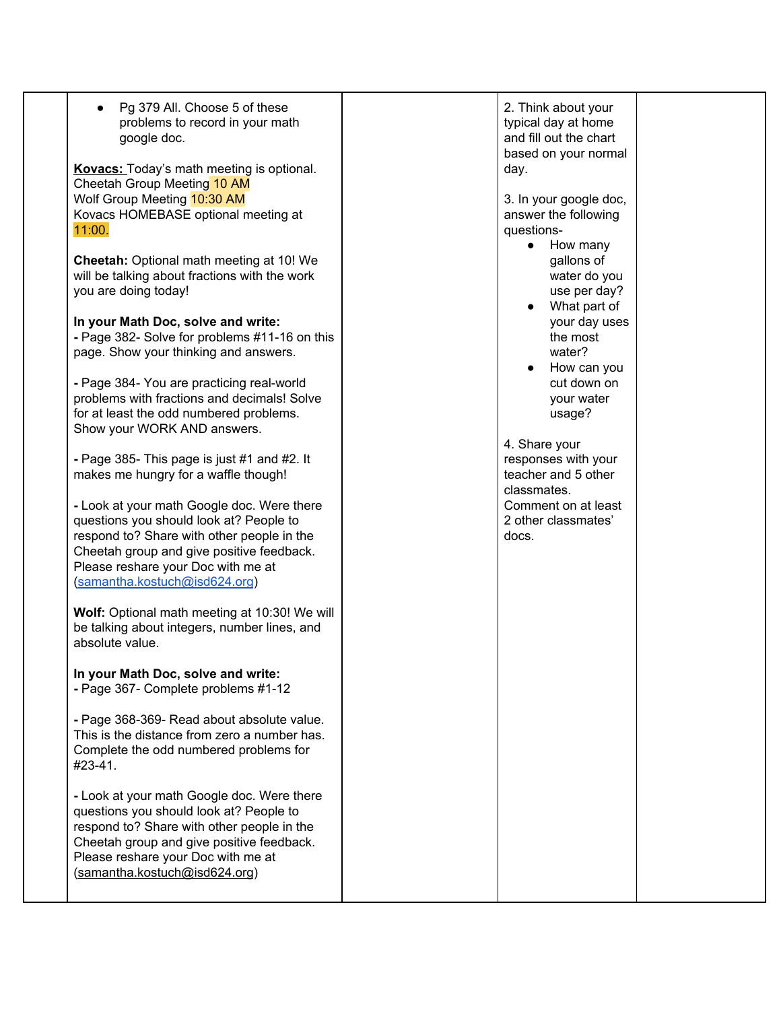| Pg 379 All. Choose 5 of these<br>problems to record in your math<br>google doc.<br><b>Kovacs:</b> Today's math meeting is optional.<br>Cheetah Group Meeting 10 AM<br>Wolf Group Meeting 10:30 AM<br>Kovacs HOMEBASE optional meeting at<br>11:00.      | 2. Think about your<br>typical day at home<br>and fill out the chart<br>based on your normal<br>day.<br>3. In your google doc,<br>answer the following<br>questions-<br>How many<br>$\bullet$ |  |
|---------------------------------------------------------------------------------------------------------------------------------------------------------------------------------------------------------------------------------------------------------|-----------------------------------------------------------------------------------------------------------------------------------------------------------------------------------------------|--|
| Cheetah: Optional math meeting at 10! We<br>will be talking about fractions with the work<br>you are doing today!                                                                                                                                       | gallons of<br>water do you<br>use per day?<br>What part of                                                                                                                                    |  |
| In your Math Doc, solve and write:<br>- Page 382- Solve for problems #11-16 on this<br>page. Show your thinking and answers.                                                                                                                            | your day uses<br>the most<br>water?<br>How can you                                                                                                                                            |  |
| - Page 384- You are practicing real-world<br>problems with fractions and decimals! Solve<br>for at least the odd numbered problems.<br>Show your WORK AND answers.                                                                                      | cut down on<br>your water<br>usage?                                                                                                                                                           |  |
| - Page 385- This page is just #1 and #2. It<br>makes me hungry for a waffle though!                                                                                                                                                                     | 4. Share your<br>responses with your<br>teacher and 5 other<br>classmates.                                                                                                                    |  |
| - Look at your math Google doc. Were there<br>questions you should look at? People to<br>respond to? Share with other people in the<br>Cheetah group and give positive feedback.<br>Please reshare your Doc with me at<br>(samantha.kostuch@isd624.org) | Comment on at least<br>2 other classmates'<br>docs.                                                                                                                                           |  |
| Wolf: Optional math meeting at 10:30! We will<br>be talking about integers, number lines, and<br>absolute value.                                                                                                                                        |                                                                                                                                                                                               |  |
| In your Math Doc, solve and write:<br>- Page 367- Complete problems #1-12                                                                                                                                                                               |                                                                                                                                                                                               |  |
| - Page 368-369- Read about absolute value.<br>This is the distance from zero a number has.<br>Complete the odd numbered problems for<br>#23-41.                                                                                                         |                                                                                                                                                                                               |  |
| - Look at your math Google doc. Were there<br>questions you should look at? People to<br>respond to? Share with other people in the<br>Cheetah group and give positive feedback.<br>Please reshare your Doc with me at<br>(samantha.kostuch@isd624.org) |                                                                                                                                                                                               |  |
|                                                                                                                                                                                                                                                         |                                                                                                                                                                                               |  |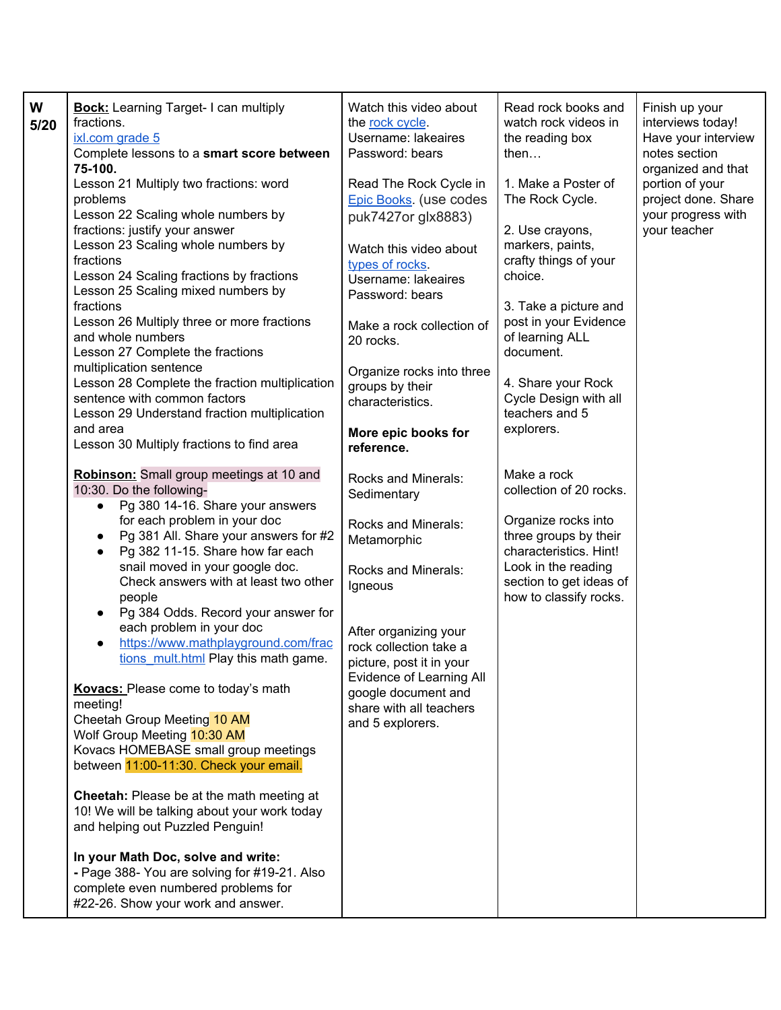| W<br>5/20 | <b>Bock:</b> Learning Target- I can multiply<br>fractions.<br>ixl.com grade 5<br>Complete lessons to a smart score between<br>75-100.<br>Lesson 21 Multiply two fractions: word<br>problems<br>Lesson 22 Scaling whole numbers by<br>fractions: justify your answer<br>Lesson 23 Scaling whole numbers by<br>fractions<br>Lesson 24 Scaling fractions by fractions<br>Lesson 25 Scaling mixed numbers by<br>fractions<br>Lesson 26 Multiply three or more fractions<br>and whole numbers<br>Lesson 27 Complete the fractions<br>multiplication sentence<br>Lesson 28 Complete the fraction multiplication<br>sentence with common factors<br>Lesson 29 Understand fraction multiplication<br>and area<br>Lesson 30 Multiply fractions to find area<br>Robinson: Small group meetings at 10 and<br>10:30. Do the following-<br>Pg 380 14-16. Share your answers<br>$\bullet$<br>for each problem in your doc<br>Pg 381 All. Share your answers for #2<br>Pg 382 11-15. Share how far each<br>$\bullet$<br>snail moved in your google doc.<br>Check answers with at least two other<br>people<br>Pg 384 Odds. Record your answer for<br>$\bullet$<br>each problem in your doc<br>https://www.mathplayground.com/frac<br>tions mult.html Play this math game.<br>Kovacs: Please come to today's math<br>meeting!<br>Cheetah Group Meeting 10 AM<br>Wolf Group Meeting 10:30 AM<br>Kovacs HOMEBASE small group meetings<br>between 11:00-11:30. Check your email.<br>Cheetah: Please be at the math meeting at<br>10! We will be talking about your work today<br>and helping out Puzzled Penguin! | Watch this video about<br>the rock cycle.<br>Username: lakeaires<br>Password: bears<br>Read The Rock Cycle in<br>Epic Books. (use codes<br>puk7427or glx8883)<br>Watch this video about<br>types of rocks.<br>Username: lakeaires<br>Password: bears<br>Make a rock collection of<br>20 rocks.<br>Organize rocks into three<br>groups by their<br>characteristics.<br>More epic books for<br>reference.<br>Rocks and Minerals:<br>Sedimentary<br>Rocks and Minerals:<br>Metamorphic<br>Rocks and Minerals:<br>Igneous<br>After organizing your<br>rock collection take a<br>picture, post it in your<br>Evidence of Learning All<br>google document and<br>share with all teachers<br>and 5 explorers. | Read rock books and<br>watch rock videos in<br>the reading box<br>then<br>1. Make a Poster of<br>The Rock Cycle.<br>2. Use crayons,<br>markers, paints,<br>crafty things of your<br>choice.<br>3. Take a picture and<br>post in your Evidence<br>of learning ALL<br>document.<br>4. Share your Rock<br>Cycle Design with all<br>teachers and 5<br>explorers.<br>Make a rock<br>collection of 20 rocks.<br>Organize rocks into<br>three groups by their<br>characteristics. Hint!<br>Look in the reading<br>section to get ideas of<br>how to classify rocks. | Finish up your<br>interviews today!<br>Have your interview<br>notes section<br>organized and that<br>portion of your<br>project done. Share<br>your progress with<br>your teacher |
|-----------|------------------------------------------------------------------------------------------------------------------------------------------------------------------------------------------------------------------------------------------------------------------------------------------------------------------------------------------------------------------------------------------------------------------------------------------------------------------------------------------------------------------------------------------------------------------------------------------------------------------------------------------------------------------------------------------------------------------------------------------------------------------------------------------------------------------------------------------------------------------------------------------------------------------------------------------------------------------------------------------------------------------------------------------------------------------------------------------------------------------------------------------------------------------------------------------------------------------------------------------------------------------------------------------------------------------------------------------------------------------------------------------------------------------------------------------------------------------------------------------------------------------------------------------------------------------------------------------------|--------------------------------------------------------------------------------------------------------------------------------------------------------------------------------------------------------------------------------------------------------------------------------------------------------------------------------------------------------------------------------------------------------------------------------------------------------------------------------------------------------------------------------------------------------------------------------------------------------------------------------------------------------------------------------------------------------|--------------------------------------------------------------------------------------------------------------------------------------------------------------------------------------------------------------------------------------------------------------------------------------------------------------------------------------------------------------------------------------------------------------------------------------------------------------------------------------------------------------------------------------------------------------|-----------------------------------------------------------------------------------------------------------------------------------------------------------------------------------|
|           | In your Math Doc, solve and write:<br>- Page 388- You are solving for #19-21. Also<br>complete even numbered problems for<br>#22-26. Show your work and answer.                                                                                                                                                                                                                                                                                                                                                                                                                                                                                                                                                                                                                                                                                                                                                                                                                                                                                                                                                                                                                                                                                                                                                                                                                                                                                                                                                                                                                                |                                                                                                                                                                                                                                                                                                                                                                                                                                                                                                                                                                                                                                                                                                        |                                                                                                                                                                                                                                                                                                                                                                                                                                                                                                                                                              |                                                                                                                                                                                   |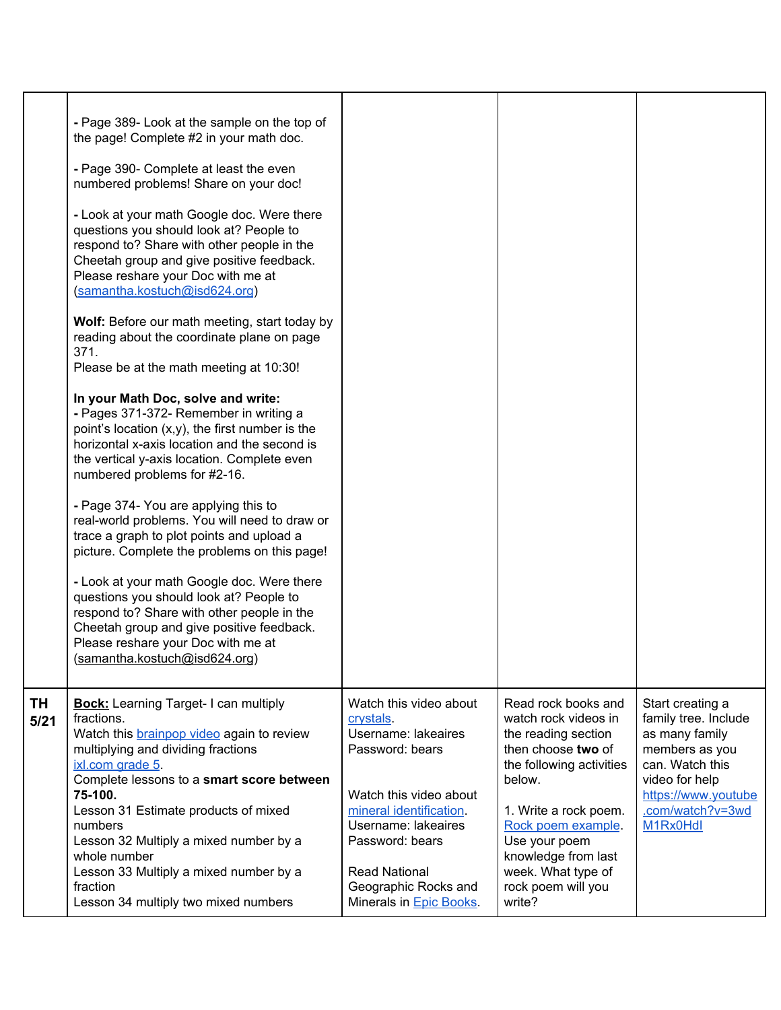|            | - Page 389- Look at the sample on the top of<br>the page! Complete #2 in your math doc.<br>- Page 390- Complete at least the even<br>numbered problems! Share on your doc!<br>- Look at your math Google doc. Were there<br>questions you should look at? People to<br>respond to? Share with other people in the<br>Cheetah group and give positive feedback.<br>Please reshare your Doc with me at<br>(samantha.kostuch@isd624.org)<br>Wolf: Before our math meeting, start today by<br>reading about the coordinate plane on page<br>371.<br>Please be at the math meeting at 10:30!<br>In your Math Doc, solve and write:<br>- Pages 371-372- Remember in writing a<br>point's location $(x,y)$ , the first number is the<br>horizontal x-axis location and the second is<br>the vertical y-axis location. Complete even<br>numbered problems for #2-16.<br>- Page 374- You are applying this to<br>real-world problems. You will need to draw or<br>trace a graph to plot points and upload a<br>picture. Complete the problems on this page!<br>- Look at your math Google doc. Were there<br>questions you should look at? People to<br>respond to? Share with other people in the<br>Cheetah group and give positive feedback.<br>Please reshare your Doc with me at<br>(samantha.kostuch@isd624.org) |                                                                                                                                                                                                                                                                 |                                                                                                                                                                                                                                                                             |                                                                                                                                                                          |
|------------|---------------------------------------------------------------------------------------------------------------------------------------------------------------------------------------------------------------------------------------------------------------------------------------------------------------------------------------------------------------------------------------------------------------------------------------------------------------------------------------------------------------------------------------------------------------------------------------------------------------------------------------------------------------------------------------------------------------------------------------------------------------------------------------------------------------------------------------------------------------------------------------------------------------------------------------------------------------------------------------------------------------------------------------------------------------------------------------------------------------------------------------------------------------------------------------------------------------------------------------------------------------------------------------------------------------|-----------------------------------------------------------------------------------------------------------------------------------------------------------------------------------------------------------------------------------------------------------------|-----------------------------------------------------------------------------------------------------------------------------------------------------------------------------------------------------------------------------------------------------------------------------|--------------------------------------------------------------------------------------------------------------------------------------------------------------------------|
| TΗ<br>5/21 | <b>Bock:</b> Learning Target- I can multiply<br>fractions.<br>Watch this <b>brainpop video</b> again to review<br>multiplying and dividing fractions<br>ixl.com grade 5.<br>Complete lessons to a smart score between<br>75-100.<br>Lesson 31 Estimate products of mixed<br>numbers<br>Lesson 32 Multiply a mixed number by a<br>whole number<br>Lesson 33 Multiply a mixed number by a<br>fraction<br>Lesson 34 multiply two mixed numbers                                                                                                                                                                                                                                                                                                                                                                                                                                                                                                                                                                                                                                                                                                                                                                                                                                                                   | Watch this video about<br>crystals.<br>Username: lakeaires<br>Password: bears<br>Watch this video about<br>mineral identification.<br>Username: lakeaires<br>Password: bears<br><b>Read National</b><br>Geographic Rocks and<br>Minerals in <b>Epic Books</b> . | Read rock books and<br>watch rock videos in<br>the reading section<br>then choose two of<br>the following activities<br>below.<br>1. Write a rock poem.<br>Rock poem example.<br>Use your poem<br>knowledge from last<br>week. What type of<br>rock poem will you<br>write? | Start creating a<br>family tree. Include<br>as many family<br>members as you<br>can. Watch this<br>video for help<br>https://www.youtube<br>.com/watch?v=3wd<br>M1Rx0Hdl |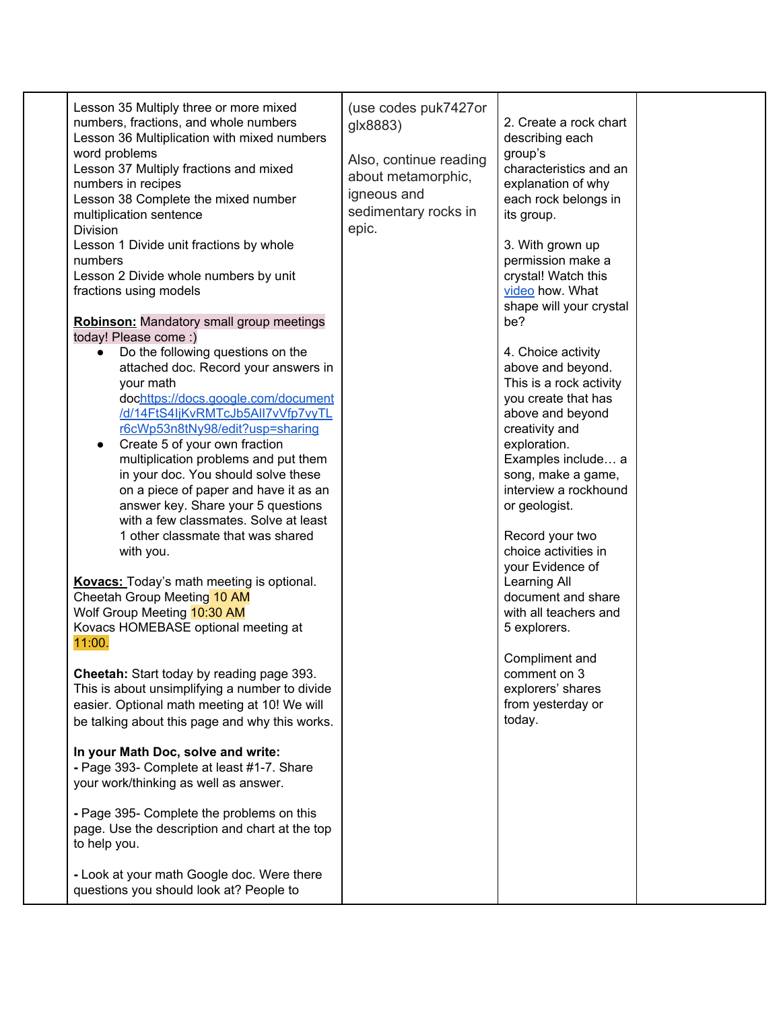| Lesson 35 Multiply three or more mixed<br>numbers, fractions, and whole numbers<br>Lesson 36 Multiplication with mixed numbers<br>word problems<br>Lesson 37 Multiply fractions and mixed<br>numbers in recipes<br>Lesson 38 Complete the mixed number<br>multiplication sentence<br>Division<br>Lesson 1 Divide unit fractions by whole<br>numbers<br>Lesson 2 Divide whole numbers by unit<br>fractions using models<br><b>Robinson:</b> Mandatory small group meetings<br>today! Please come :)<br>Do the following questions on the<br>$\bullet$<br>attached doc. Record your answers in<br>your math<br>dochttps://docs.google.com/document<br>/d/14FtS4IjKvRMTcJb5All7vVfp7vyTL<br>r6cWp53n8tNy98/edit?usp=sharing<br>Create 5 of your own fraction<br>multiplication problems and put them<br>in your doc. You should solve these<br>on a piece of paper and have it as an<br>answer key. Share your 5 questions<br>with a few classmates. Solve at least<br>1 other classmate that was shared<br>with you.<br><b>Kovacs:</b> Today's math meeting is optional.<br>Cheetah Group Meeting 10 AM<br>Wolf Group Meeting 10:30 AM<br>Kovacs HOMEBASE optional meeting at<br>11:00.<br>Cheetah: Start today by reading page 393.<br>This is about unsimplifying a number to divide<br>easier. Optional math meeting at 10! We will<br>be talking about this page and why this works.<br>In your Math Doc, solve and write:<br>- Page 393- Complete at least #1-7. Share<br>your work/thinking as well as answer.<br>- Page 395- Complete the problems on this<br>page. Use the description and chart at the top<br>to help you. | (use codes puk7427or<br>glx8883)<br>Also, continue reading<br>about metamorphic,<br>igneous and<br>sedimentary rocks in<br>epic. | 2. Create a rock chart<br>describing each<br>group's<br>characteristics and an<br>explanation of why<br>each rock belongs in<br>its group.<br>3. With grown up<br>permission make a<br>crystal! Watch this<br>video how. What<br>shape will your crystal<br>be?<br>4. Choice activity<br>above and beyond.<br>This is a rock activity<br>you create that has<br>above and beyond<br>creativity and<br>exploration.<br>Examples include a<br>song, make a game,<br>interview a rockhound<br>or geologist.<br>Record your two<br>choice activities in<br>your Evidence of<br>Learning All<br>document and share<br>with all teachers and<br>5 explorers.<br>Compliment and<br>comment on 3<br>explorers' shares<br>from yesterday or<br>today. |  |
|-----------------------------------------------------------------------------------------------------------------------------------------------------------------------------------------------------------------------------------------------------------------------------------------------------------------------------------------------------------------------------------------------------------------------------------------------------------------------------------------------------------------------------------------------------------------------------------------------------------------------------------------------------------------------------------------------------------------------------------------------------------------------------------------------------------------------------------------------------------------------------------------------------------------------------------------------------------------------------------------------------------------------------------------------------------------------------------------------------------------------------------------------------------------------------------------------------------------------------------------------------------------------------------------------------------------------------------------------------------------------------------------------------------------------------------------------------------------------------------------------------------------------------------------------------------------------------------------------------------------------------------|----------------------------------------------------------------------------------------------------------------------------------|----------------------------------------------------------------------------------------------------------------------------------------------------------------------------------------------------------------------------------------------------------------------------------------------------------------------------------------------------------------------------------------------------------------------------------------------------------------------------------------------------------------------------------------------------------------------------------------------------------------------------------------------------------------------------------------------------------------------------------------------|--|
| - Look at your math Google doc. Were there<br>questions you should look at? People to                                                                                                                                                                                                                                                                                                                                                                                                                                                                                                                                                                                                                                                                                                                                                                                                                                                                                                                                                                                                                                                                                                                                                                                                                                                                                                                                                                                                                                                                                                                                             |                                                                                                                                  |                                                                                                                                                                                                                                                                                                                                                                                                                                                                                                                                                                                                                                                                                                                                              |  |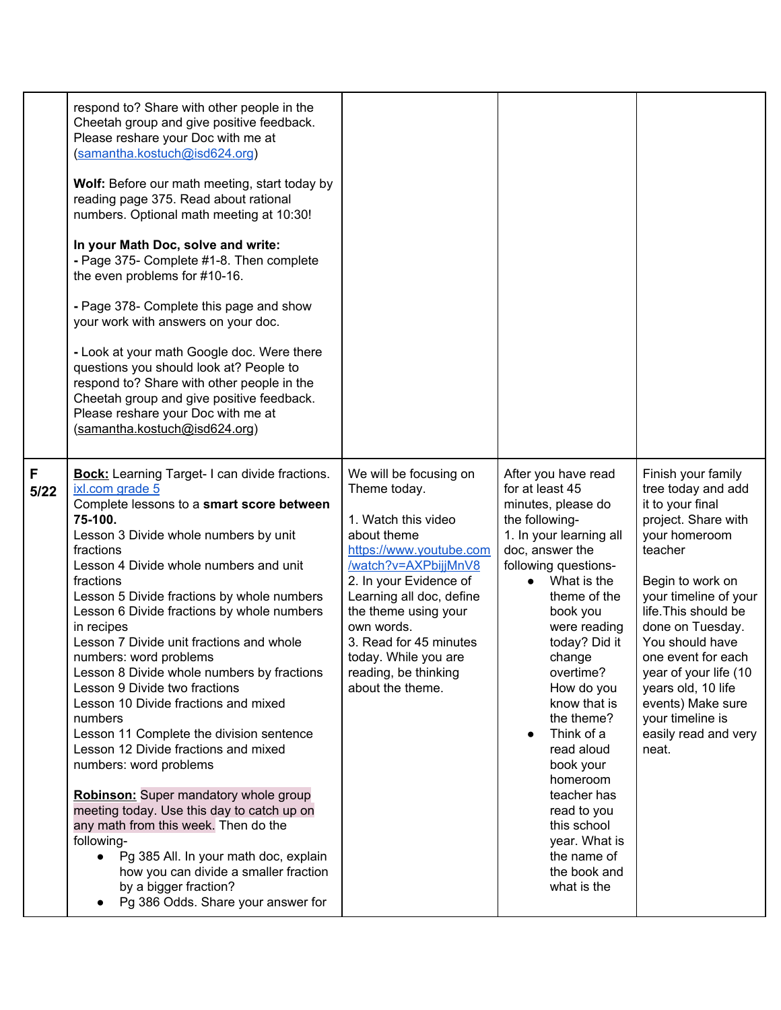|           | respond to? Share with other people in the<br>Cheetah group and give positive feedback.<br>Please reshare your Doc with me at<br>(samantha.kostuch@isd624.org)<br>Wolf: Before our math meeting, start today by<br>reading page 375. Read about rational<br>numbers. Optional math meeting at 10:30!<br>In your Math Doc, solve and write:<br>- Page 375- Complete #1-8. Then complete<br>the even problems for #10-16.<br>- Page 378- Complete this page and show<br>your work with answers on your doc.<br>- Look at your math Google doc. Were there<br>questions you should look at? People to<br>respond to? Share with other people in the<br>Cheetah group and give positive feedback.<br>Please reshare your Doc with me at<br>(samantha.kostuch@isd624.org)                                                                                                                                                                                                                            |                                                                                                                                                                                                                                                                                                                           |                                                                                                                                                                                                                                                                                                                                                                                                                                                                      |                                                                                                                                                                                                                                                                                                                                                                            |
|-----------|-------------------------------------------------------------------------------------------------------------------------------------------------------------------------------------------------------------------------------------------------------------------------------------------------------------------------------------------------------------------------------------------------------------------------------------------------------------------------------------------------------------------------------------------------------------------------------------------------------------------------------------------------------------------------------------------------------------------------------------------------------------------------------------------------------------------------------------------------------------------------------------------------------------------------------------------------------------------------------------------------|---------------------------------------------------------------------------------------------------------------------------------------------------------------------------------------------------------------------------------------------------------------------------------------------------------------------------|----------------------------------------------------------------------------------------------------------------------------------------------------------------------------------------------------------------------------------------------------------------------------------------------------------------------------------------------------------------------------------------------------------------------------------------------------------------------|----------------------------------------------------------------------------------------------------------------------------------------------------------------------------------------------------------------------------------------------------------------------------------------------------------------------------------------------------------------------------|
| F<br>5/22 | <b>Bock:</b> Learning Target- I can divide fractions.<br>ixl.com grade 5<br>Complete lessons to a smart score between<br>75-100.<br>Lesson 3 Divide whole numbers by unit<br>fractions<br>Lesson 4 Divide whole numbers and unit<br>fractions<br>Lesson 5 Divide fractions by whole numbers<br>Lesson 6 Divide fractions by whole numbers<br>in recipes<br>Lesson 7 Divide unit fractions and whole<br>numbers: word problems<br>Lesson 8 Divide whole numbers by fractions<br>Lesson 9 Divide two fractions<br>Lesson 10 Divide fractions and mixed<br>numbers<br>Lesson 11 Complete the division sentence<br>Lesson 12 Divide fractions and mixed<br>numbers: word problems<br><b>Robinson:</b> Super mandatory whole group<br>meeting today. Use this day to catch up on<br>any math from this week. Then do the<br>following-<br>Pg 385 All. In your math doc, explain<br>$\bullet$<br>how you can divide a smaller fraction<br>by a bigger fraction?<br>Pg 386 Odds. Share your answer for | We will be focusing on<br>Theme today.<br>1. Watch this video<br>about theme<br>https://www.youtube.com<br>/watch?v=AXPbijjMnV8<br>2. In your Evidence of<br>Learning all doc, define<br>the theme using your<br>own words.<br>3. Read for 45 minutes<br>today. While you are<br>reading, be thinking<br>about the theme. | After you have read<br>for at least 45<br>minutes, please do<br>the following-<br>1. In your learning all<br>doc, answer the<br>following questions-<br>What is the<br>theme of the<br>book you<br>were reading<br>today? Did it<br>change<br>overtime?<br>How do you<br>know that is<br>the theme?<br>Think of a<br>read aloud<br>book your<br>homeroom<br>teacher has<br>read to you<br>this school<br>year. What is<br>the name of<br>the book and<br>what is the | Finish your family<br>tree today and add<br>it to your final<br>project. Share with<br>your homeroom<br>teacher<br>Begin to work on<br>your timeline of your<br>life. This should be<br>done on Tuesday.<br>You should have<br>one event for each<br>year of your life (10<br>years old, 10 life<br>events) Make sure<br>your timeline is<br>easily read and very<br>neat. |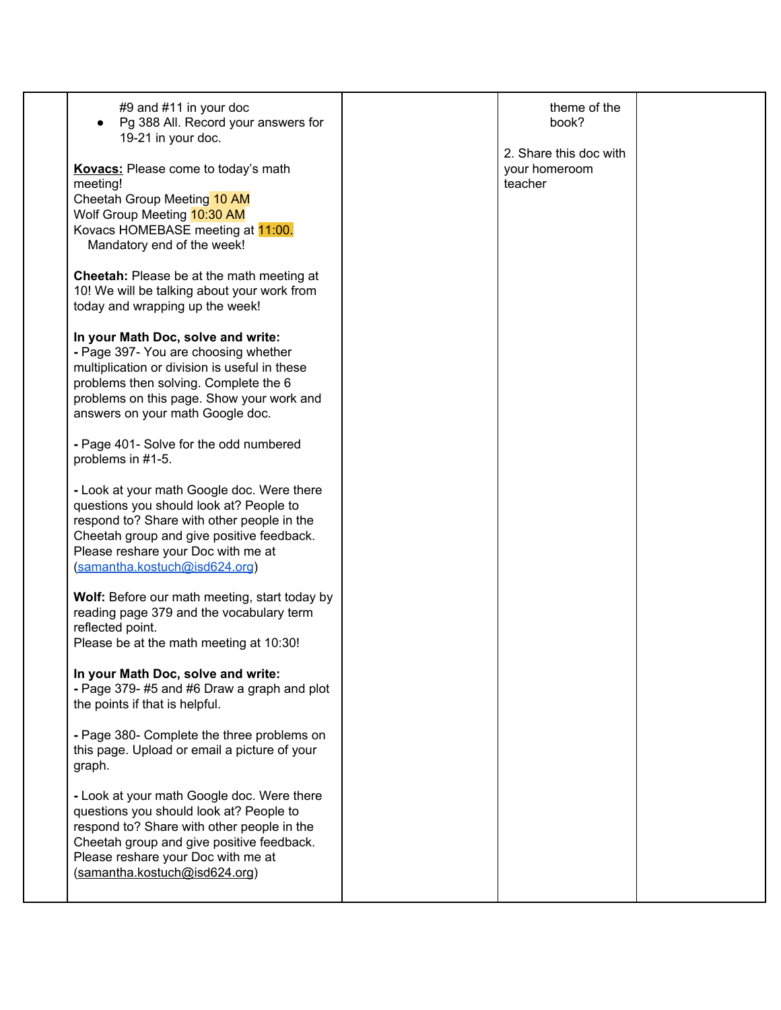| #9 and #11 in your doc<br>Pg 388 All. Record your answers for<br>19-21 in your doc.                                                                                                                                                                     | theme of the<br>book?                              |  |
|---------------------------------------------------------------------------------------------------------------------------------------------------------------------------------------------------------------------------------------------------------|----------------------------------------------------|--|
| Kovacs: Please come to today's math<br>meeting!<br>Cheetah Group Meeting 10 AM<br>Wolf Group Meeting 10:30 AM<br>Kovacs HOMEBASE meeting at 11:00.<br>Mandatory end of the week!                                                                        | 2. Share this doc with<br>your homeroom<br>teacher |  |
| Cheetah: Please be at the math meeting at<br>10! We will be talking about your work from<br>today and wrapping up the week!                                                                                                                             |                                                    |  |
| In your Math Doc, solve and write:<br>- Page 397- You are choosing whether<br>multiplication or division is useful in these<br>problems then solving. Complete the 6<br>problems on this page. Show your work and<br>answers on your math Google doc.   |                                                    |  |
| - Page 401- Solve for the odd numbered<br>problems in #1-5.                                                                                                                                                                                             |                                                    |  |
| - Look at your math Google doc. Were there<br>questions you should look at? People to<br>respond to? Share with other people in the<br>Cheetah group and give positive feedback.<br>Please reshare your Doc with me at<br>(samantha.kostuch@isd624.org) |                                                    |  |
| Wolf: Before our math meeting, start today by<br>reading page 379 and the vocabulary term<br>reflected point.<br>Please be at the math meeting at 10:30!                                                                                                |                                                    |  |
| In your Math Doc, solve and write:<br>- Page 379-#5 and #6 Draw a graph and plot<br>the points if that is helpful.                                                                                                                                      |                                                    |  |
| - Page 380- Complete the three problems on<br>this page. Upload or email a picture of your<br>graph.                                                                                                                                                    |                                                    |  |
| - Look at your math Google doc. Were there<br>questions you should look at? People to<br>respond to? Share with other people in the<br>Cheetah group and give positive feedback.<br>Please reshare your Doc with me at<br>(samantha.kostuch@isd624.org) |                                                    |  |
|                                                                                                                                                                                                                                                         |                                                    |  |